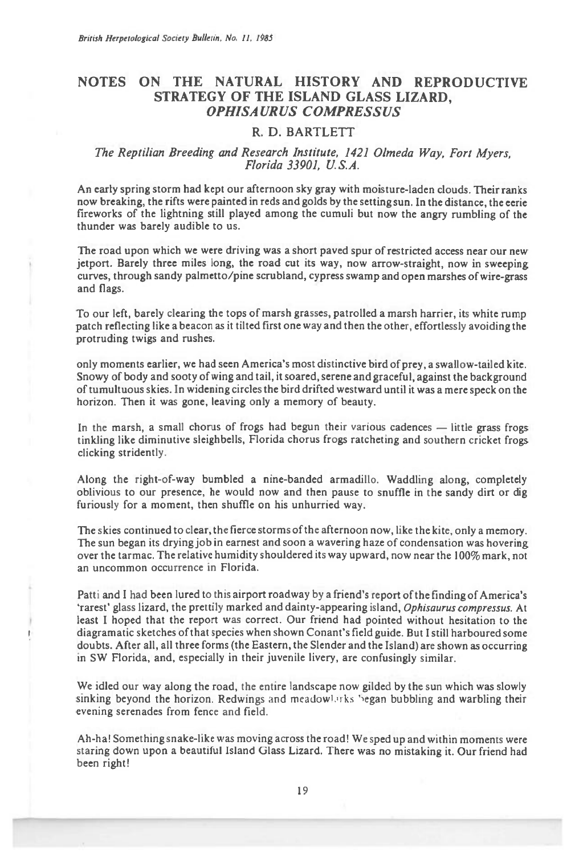## **NOTES ON THE NATURAL HISTORY AND REPRODUCTIVE STRATEGY OF THE ISLAND GLASS LIZARD, OPHISAURUS COMPRESSUS**

## **R. D. BARTLETT**

## *The Reptilian Breeding and Research Institute, 1421 Olmeda Way, Fort Myers, Florida 33901, U.S.A.*

An early spring storm had kept our afternoon sky gray with moisture-laden clouds. Their ranks now breaking, the rifts were painted in reds and golds by the setting sun. In the distance, the eerie fireworks of the lightning still played among the cumuli but now the angry rumbling of the thunder was barely audible to us.

The road upon which we were driving was a short paved spur of restricted access near our new jetport. Barely three miles long, the road cut its way, now arrow-straight, now in sweeping curves, through sandy palmetto/pine scrubland, cypress swamp and open marshes of wire-grass and flags.

To our left, barely clearing the tops of marsh grasses, patrolled a marsh harrier, its white rump patch reflecting like a beacon as it tilted first one way and then the other, effortlessly avoiding the protruding twigs and rushes.

only moments earlier, we had seen America's most distinctive bird of prey, a swallow-tailed kite. Snowy of body and sooty of wing and tail, it soared, serene and graceful, against the background of tumultuous skies. In widening circles the bird drifted westward until it was a mere speck on the horizon. Then it was gone, leaving only a memory of beauty.

In the marsh, a small chorus of frogs had begun their various cadences — little grass frogs tinkling like diminutive sleighbells, Florida chorus frogs ratcheting and southern cricket frogs clicking stridently.

Along the right-of-way bumbled a nine-banded armadillo. Waddling along, completely oblivious to our presence, he would now and then pause to snuffle in the sandy dirt or dig furiously for a moment, then shuffle on his unhurried way.

The skies continued to clear, the fierce storms of the afternoon now, like the kite, only a memory. The sun began its drying job in earnest and soon a wavering haze of condensation was hovering over the tarmac. The relative humidity shouldered its way upward, now near the 100% mark, not an uncommon occurrence in Florida.

Patti and I had been lured to this airport roadway by a friend's report of the finding of America's 'rarest' glass lizard, the prettily marked and dainty-appearing island, *Ophisaurus compressus.* At least I hoped that the report was correct. Our friend had pointed without hesitation to the diagramatic sketches of that species when shown Conant's field guide. But I still harboured some doubts. After all, all three forms (the Eastern, the Slender and the Island) are shown as occurring in SW Florida, and, especially in their juvenile livery, are confusingly similar.

We idled our way along the road, the entire landscape now gilded by the sun which was slowly sinking beyond the horizon. Redwings and meadowlarks began bubbling and warbling their evening serenades from fence and field.

Ah-ha! Something snake-like was moving across the road! We sped up and within moments were staring down upon a beautiful Island Glass Lizard. There was no mistaking it. Our friend had been right!

19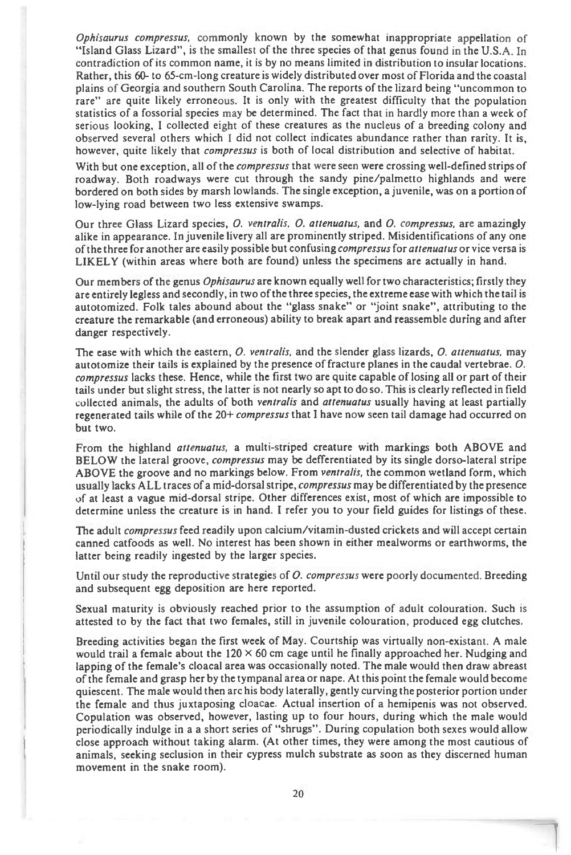*Ophtsaurus compressus,* commonly known by the somewhat inappropriate appellation of "Island Glass Lizard", is the smallest of the three species of that genus found in the U.S.A. In contradiction of its common name, it is by no means limited in distribution to insular locations. Rather, this 60- to 65-cm-long creature is widely distributed over most of Florida and the coastal plains of Georgia and southern South Carolina. The reports of the lizard being "uncommon to rare" are quite likely erroneous. It is only with the greatest difficulty that the population statistics of a fossorial species may be determined. The fact that in hardly more than a week of serious looking, I collected eight of these creatures as the nucleus of a breeding colony and observed several others which I did not collect indicates abundance rather than rarity. It is, however, quite likely that *compressus* is both of local distribution and selective of habitat.

With but one exception, all of the *compressus* that were seen were crossing well-defined strips of roadway. Both roadways were cut through the sandy pine/palmetto highlands and were bordered on both sides by marsh lowlands. The single exception, a juvenile, was on a portion of low-lying road between two less extensive swamps.

Our three Glass Lizard species, *0. ventralis, 0. attenuatus,* and *0. compressus,* are amazingly alike in appearance. In juvenile livery all are prominently striped. Misidentifications of any one of the three for another are easily possible but confusing *compressus* for *attenuatus* or vice versa is LIKELY (within areas where both are found) unless the specimens are actually in hand.

Our members of the genus *Ophisaurus* are known equally well for two characteristics; firstly they are entirely legless and secondly, in two of the three species, the extreme ease with which the tail is autotomized. Folk tales abound about the "glass snake" or "joint snake", attributing to the creature the remarkable (and erroneous) ability to break apart and reassemble during and after danger respectively.

The ease with which the eastern, *0. ventralis,* and the slender glass lizards, *0. attenuatus,* may autotomize their tails is explained by the presence of fracture planes in the caudal vertebrae. *0. compressus* lacks these. Hence, while the first two are quite capable of losing all or part of their tails under but slight stress, the latter is not nearly so apt to do so. This is clearly reflected in field collected animals, the adults of both *ventralis* and *attenuatus* usually having at least partially regenerated tails while of the 20+ *compressus* that I have now seen tail damage had occurred on but two.

From the highland *attenuatus,* a multi-striped creature with markings both ABOVE and BELOW the lateral groove, *compressus* may be defferentiated by its single dorso-lateral stripe ABOVE the groove and no markings below. From *ventralis,* the common wetland form, which usually lacks ALL traces of a mid-dorsal stripe, *compressus* may be differentiated by the presence of at least a vague mid-dorsal stripe. Other differences exist, most of which are impossible to determine unless the creature is in hand. I refer you to your field guides for listings of these.

The adult *compressus* feed readily upon calcium/vitamin-dusted crickets and will accept certain canned catfoods as well. No interest has been shown in either mealworms or earthworms, the latter being readily ingested by the larger species.

Until our study the reproductive strategies of *0. compressus* were poorly documented. Breeding and subsequent egg deposition are here reported.

Sexual maturity is obviously reached prior to the assumption of adult colouration. Such is attested to by the fact that two females, still in juvenile colouration, produced egg clutches.

Breeding activities began the first week of May. Courtship was virtually non-existant. A male would trail a female about the  $120 \times 60$  cm cage until he finally approached her. Nudging and lapping of the female's cloacal area was occasionally noted. The male would then draw abreast of the female and grasp her by the tympanal area or nape. At this point the female would become quiescent. The male would then arc his body laterally, gently curving the posterior portion under the female and thus juxtaposing cloacae. Actual insertion of a hemipenis was not observed. Copulation was observed, however, lasting up to four hours, during which the male would periodically indulge in a a short series of "shrugs". During copulation both sexes would allow close approach without taking alarm. (At other times, they were among the most cautious of animals, seeking seclusion in their cypress mulch substrate as soon as they discerned human movement in the snake room).